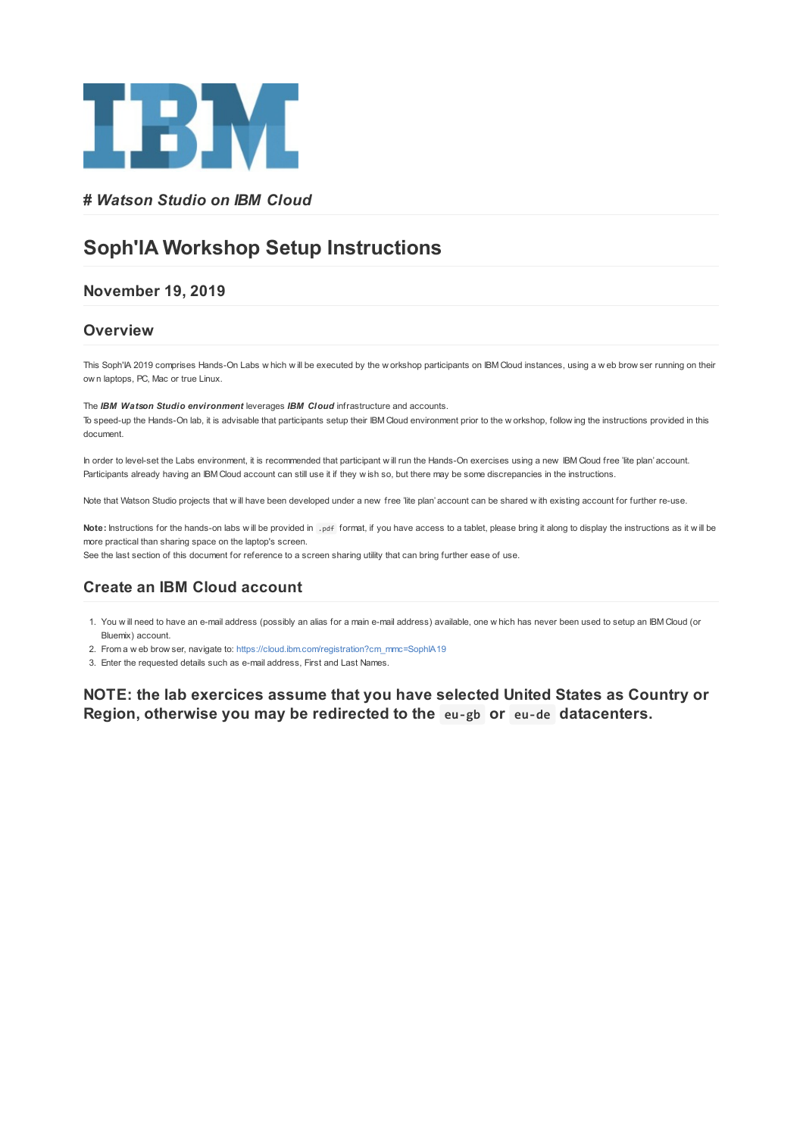

## **#** *Watson Studio on IBM Cloud*

# **Soph'IA Workshop Setup Instructions**

## **November 19, 2019**

#### **Overview**

This Soph'IA 2019 comprises Hands-On Labs w hich w ill be executed by the w orkshop participants on IBM Cloud instances, using a w eb brow ser running on their ow n laptops, PC, Mac or true Linux.

The *IBM Watson Studio environment* leverages *IBM Cloud* infrastructure and accounts.

To speed-up the Hands-On lab, it is advisable that participants setup their IBM Cloud environment prior to the w orkshop, follow ing the instructions provided in this document.

In order to level-set the Labs environment, it is recommended that participant w ill run the Hands-On exercises using a new IBM Cloud free 'lite plan' account. Participants already having an IBM Cloud account can still use it if they w ish so, but there may be some discrepancies in the instructions.

Note that Watson Studio projects that will have been developed under a new free 'lite plan' account can be shared with existing account for further re-use.

Note: Instructions for the hands-on labs will be provided in .pdf format, if you have access to a tablet, please bring it along to display the instructions as it will be more practical than sharing space on the laptop's screen.

See the last section of this document for reference to a screen sharing utility that can bring further ease of use.

## **Create an IBM Cloud account**

1. You w ill need to have an e-mail address (possibly an alias for a main e-mail address) available, one w hich has never been used to setup an IBM Cloud (or Bluemix) account.

2. From a w eb brow ser, navigate to: [https://cloud.ibm.com/registration?cm\\_mmc=SophIA19](https://cloud.ibm.com/registration?cm_mmc=SophIA19)

3. Enter the requested details such as e-mail address, First and Last Names.

**NOTE: the lab exercices assume that you have selected United States as Country or Region, otherwise you may be redirected to the eu-gb or eu-de datacenters.**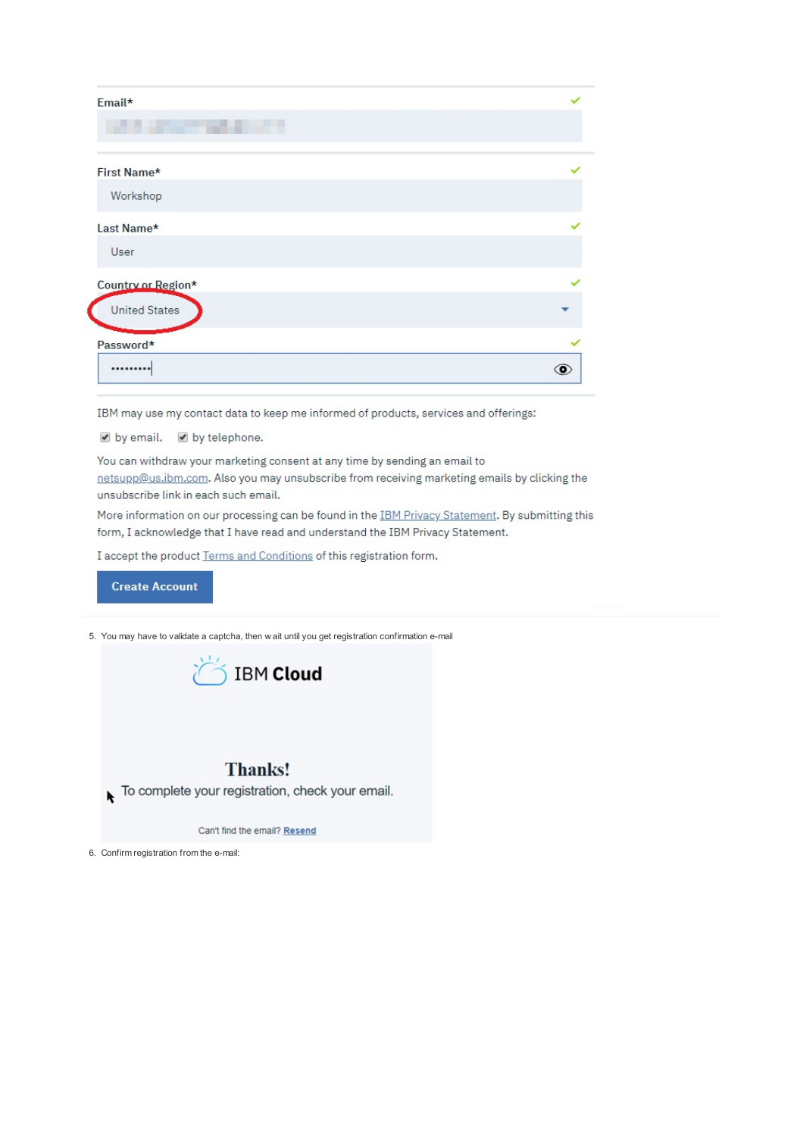| Email*<br><u> De Santo de Santo de Santo de Santo de Santo de Santo de Santo de Santo de Santo de Santo de Santo de Santo d</u> |   |
|---------------------------------------------------------------------------------------------------------------------------------|---|
|                                                                                                                                 |   |
| Workshop                                                                                                                        |   |
| Last Name*                                                                                                                      |   |
| User                                                                                                                            |   |
| Country or Region*                                                                                                              |   |
| <b>United States</b>                                                                                                            |   |
| Password*                                                                                                                       |   |
|                                                                                                                                 | ⊙ |

IBM may use my contact data to keep me informed of products, services and offerings:

by email. by telephone.

You can withdraw your marketing consent at any time by sending an email to netsupp@us.ibm.com. Also you may unsubscribe from receiving marketing emails by clicking the unsubscribe link in each such email.

More information on our processing can be found in the IBM Privacy Statement. By submitting this form, I acknowledge that I have read and understand the IBM Privacy Statement.

I accept the product Terms and Conditions of this registration form.



5. You may have to validate a captcha, then w ait until you get registration confirmation e-mail



## **Thanks!**

To complete your registration, check your email.

Can't find the email? Resend

6. Confirm registration from the e-mail: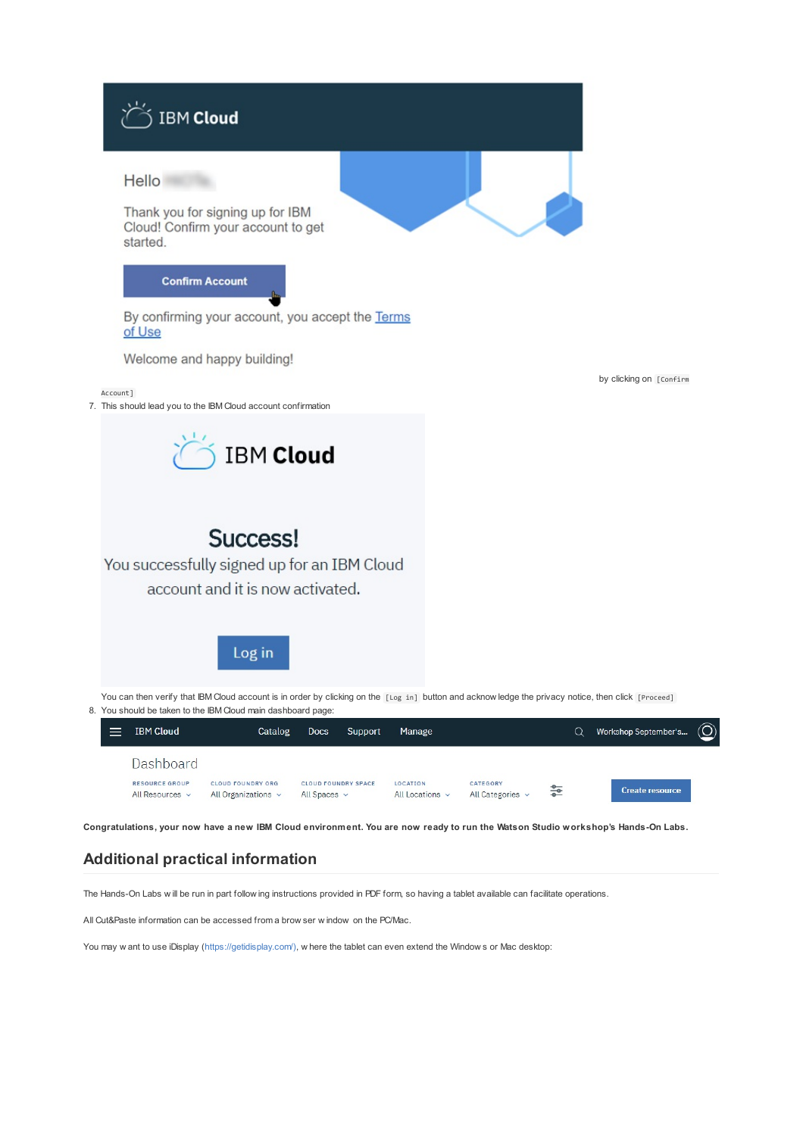

The Hands-On Labs w ill be run in part follow ing instructions provided in PDF form, so having a tablet available can facilitate operations.

All Cut&Paste information can be accessed from a brow ser w indow on the PC/Mac.

You may w ant to use iDisplay ([https://getidisplay.com/\),](https://getidisplay.com/)) w here the tablet can even extend the Window s or Mac desktop: